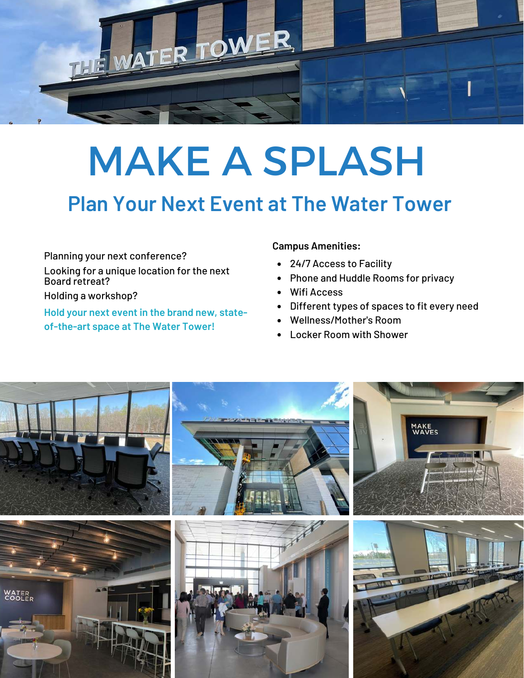

# MAKE A SPLASH

## **Plan Your Next Event at The Water Tower**

Planning your next conference?

Looking for a unique location for the next Board retreat?

Holding a workshop?

**Hold your next event in the brand new, stateof-the-art space at The Water Tower!** 

#### **Campus Amenities:**

- 24/7 Access to Facility
- Phone and Huddle Rooms for privacy  $\bullet$
- Wifi Access
- Different types of spaces to fit every need  $\bullet$
- Wellness/Mother's Room
- Locker Room with Shower